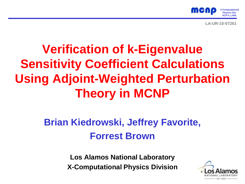

**LA-UR-10-07261**

# **Verification of k-Eigenvalue Sensitivity Coefficient Calculations Using Adjoint-Weighted Perturbation Theory in MCNP**

### **Brian Kiedrowski, Jeffrey Favorite, Forrest Brown**

**Los Alamos National Laboratory X-Computational Physics Division**

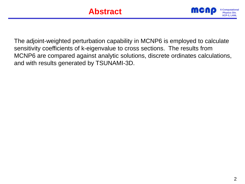

The adjoint-weighted perturbation capability in MCNP6 is employed to calculate sensitivity coefficients of k-eigenvalue to cross sections. The results from MCNP6 are compared against analytic solutions, discrete ordinates calculations, and with results generated by TSUNAMI-3D.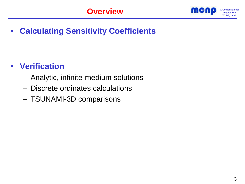

• **Calculating Sensitivity Coefficients**

### • **Verification**

- Analytic, infinite-medium solutions
- Discrete ordinates calculations
- TSUNAMI-3D comparisons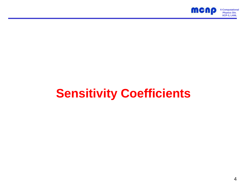

# **Sensitivity Coefficients**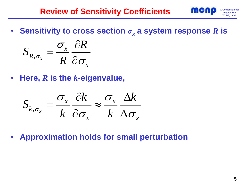

• Sensitivity to cross section  $\sigma_r$  a system response R is

$$
S_{R,\sigma_x} = \frac{\sigma_x}{R} \frac{\partial R}{\partial \sigma_x}
$$

• **Here,** *R* **is the** *k***-eigenvalue,**

$$
S_{k,\sigma_x} = \frac{\sigma_x}{k} \frac{\partial k}{\partial \sigma_x} \approx \frac{\sigma_x}{k} \frac{\Delta k}{\Delta \sigma_x}
$$

• **Approximation holds for small perturbation**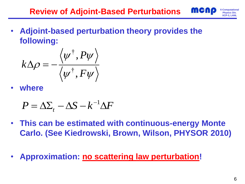

• **Adjoint-based perturbation theory provides the following:**

$$
k\Delta\rho=-\frac{\left\langle \psi^{\dagger},P\psi\right\rangle }{\left\langle \psi^{\dagger},F\psi\right\rangle }
$$

• **where**

$$
P = \Delta \Sigma_t - \Delta S - k^{-1} \Delta F
$$

- **This can be estimated with continuous-energy Monte Carlo. (See Kiedrowski, Brown, Wilson, PHYSOR 2010)**
- **Approximation: no scattering law perturbation!**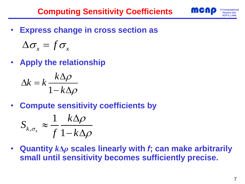**Computing Sensitivity Coefficients <b>Incipal** X-Computa



• **Express change in cross section as**

$$
\Delta \sigma_x = f \sigma_x
$$

• **Apply the relationship**

$$
\Delta k = k \frac{k \Delta \rho}{1 - k \Delta \rho}
$$

• **Compute sensitivity coefficients by**

$$
S_{k,\sigma_x} \approx \frac{1}{f} \frac{k\Delta\rho}{1 - k\Delta\rho}
$$

• **Quantity** *k***Δ***ρ* **scales linearly with** *f***; can make arbitrarily small until sensitivity becomes sufficiently precise.**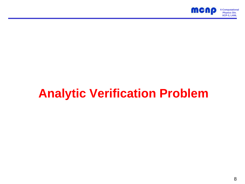

# **Analytic Verification Problem**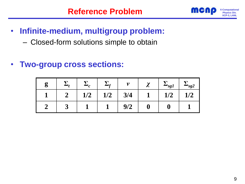

### • **Infinite-medium, multigroup problem:**

- Closed-form solutions simple to obtain
- **Two-group cross sections:**

| $\boldsymbol{g}$<br>0 |     |     | 11  | $\gamma$<br>↗ | $\mathbf{g}_l$ | $\frac{1}{2}$ sg2 |
|-----------------------|-----|-----|-----|---------------|----------------|-------------------|
|                       | 1/2 | 1/2 | 3/4 |               | 1/2            | 1/2               |
|                       |     |     | 9/2 |               |                |                   |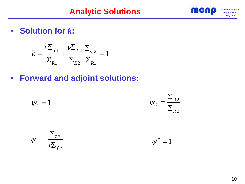

• **Solution for** *k***:**

$$
k = \frac{\nu \Sigma_{f1}}{\Sigma_{R1}} + \frac{\nu \Sigma_{f2}}{\Sigma_{R2}} \frac{\Sigma_{s12}}{\Sigma_{R1}} = 1
$$

• **Forward and adjoint solutions:**

$$
\psi_1 = 1 \qquad \psi_2 = \frac{\sum_{s12}}{\sum_{R2}}
$$

$$
\psi_1^{\dagger} = \frac{\Sigma_{R2}}{\nu \Sigma_{f2}}
$$

†  $\psi_2^{\dagger} = 1$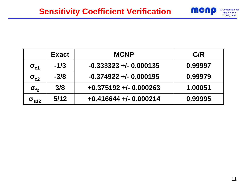

|                   | <b>Exact</b> | <b>MCNP</b>              | C/R     |
|-------------------|--------------|--------------------------|---------|
| $\sigma_{\rm c1}$ | $-1/3$       | $-0.333323 + 0.000135$   | 0.99997 |
| $\sigma_{c2}$     | $-3/8$       | $-0.374922 + 0.000195$   | 0.99979 |
| $\sigma_{f2}$     | 3/8          | $+0.375192 + -0.000263$  | 1.00051 |
| $\sigma_{s12}$    | 5/12         | $+0.416644 + (-0.000214$ | 0.99995 |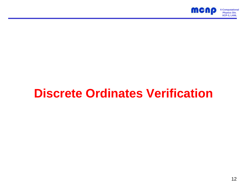

# **Discrete Ordinates Verification**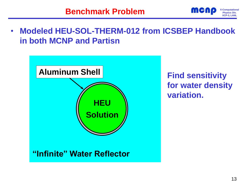

• **Modeled HEU-SOL-THERM-012 from ICSBEP Handbook in both MCNP and Partisn**



**for water density variation.**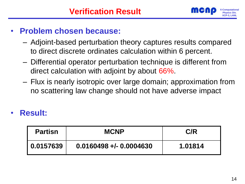

#### • **Problem chosen because:**

- Adjoint-based perturbation theory captures results compared to direct discrete ordinates calculation within 6 percent.
- Differential operator perturbation technique is different from direct calculation with adjoint by about 66%.
- Flux is nearly isotropic over large domain; approximation from no scattering law change should not have adverse impact

#### • **Result:**

| <b>Partisn</b> | <b>MCNP</b>             | C/R     |
|----------------|-------------------------|---------|
| 0.0157639      | $0.0160498 + 0.0004630$ | 1.01814 |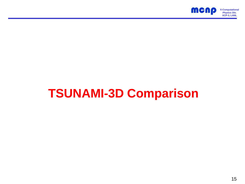

# **TSUNAMI-3D Comparison**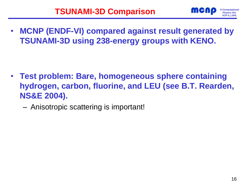

• **MCNP (ENDF-VI) compared against result generated by TSUNAMI-3D using 238-energy groups with KENO.**

- **Test problem: Bare, homogeneous sphere containing hydrogen, carbon, fluorine, and LEU (see B.T. Rearden, NS&E 2004).**
	- Anisotropic scattering is important!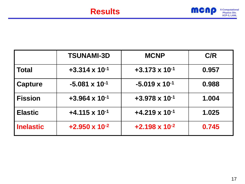

|                  | <b>TSUNAMI-3D</b>       | <b>MCNP</b>             | C/R   |
|------------------|-------------------------|-------------------------|-------|
| Total            | $+3.314 \times 10^{-1}$ | $+3.173 \times 10^{-1}$ | 0.957 |
| <b>Capture</b>   | $-5.081 \times 10^{-1}$ | $-5.019 \times 10^{-1}$ | 0.988 |
| <b>Fission</b>   | $+3.964 \times 10^{-1}$ | $+3.978 \times 10^{-1}$ | 1.004 |
| <b>Elastic</b>   | $+4.115 \times 10^{-1}$ | $+4.219 \times 10^{-1}$ | 1.025 |
| <b>Inelastic</b> | $+2.950 \times 10^{-2}$ | $+2.198 \times 10^{-2}$ | 0.745 |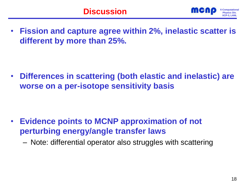

• **Fission and capture agree within 2%, inelastic scatter is different by more than 25%.**

• **Differences in scattering (both elastic and inelastic) are worse on a per-isotope sensitivity basis**

- **Evidence points to MCNP approximation of not perturbing energy/angle transfer laws**
	- Note: differential operator also struggles with scattering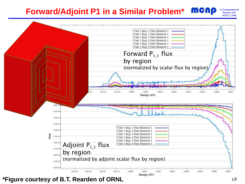### **Prophysics Div. P1 in a Similar Problem\* MCNP** *X-Computation*





**\*Figure courtesy of B.T. Rearden of ORNL**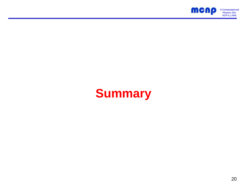

## **Summary**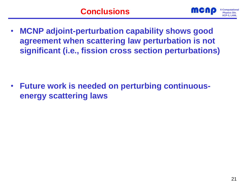

• **MCNP adjoint-perturbation capability shows good agreement when scattering law perturbation is not significant (i.e., fission cross section perturbations)**

• **Future work is needed on perturbing continuousenergy scattering laws**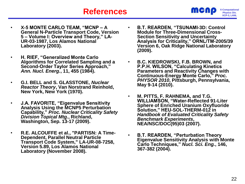- **X-5 MONTE CARLO TEAM, "MCNP – A General N-Particle Transport Code, Version 5 – Volume I: Overview and Theory," LA-UR-03-1987, Los Alamos National Laboratory (2003).**
	- **H. RIEF, "Generalized Monte Carlo Algorithms for Correlated Sampling and a Second-Order Taylor Series Approach,"**  *Ann. Nucl. Energ.***, 11, 455 (1984).**
	- **G.I. BELL and S. GLASSTONE,** *Nuclear Reactor Theory***, Van Norstrand Reinhold, New York, New York (1970).**
	- **J.A. FAVORITE, "Eigenvalue Sensitivity Analysis Using the MCNP5 Perturbation Capability,"** *Proc. Nuclear Criticality Safety Division Topical Mtg.***, Richland, Washington, Sep. 13-17 (2009).**
	- **R.E. ALCOUFFE et al., "PARTISN: A Time-Dependent, Parallel Neutral Particle Transport Code System," LA-UR-08-7258, Version 5.89, Los Alamos National Laboratory (November 2008).**
- **B.T. REARDEN, "TSUNAMI-3D: Control Module for Three-Dimensional Cross-Section Sensitivity and Uncertainty Analysis for Criticality," ORNL/TM-2005/39 Version 6, Oak Ridge National Laboratory (2009).**
- **B.C. KIEDROWSKI, F.B. BROWN, and P.P.H. WILSON, "Calculating Kinetics Parameters and Reactivity Changes with Continuous-Energy Monte Carlo,"** *Proc. PHYSOR 2010***, Pittsburgh, Pennsylvania, May 9-14 (2010).**
- **M. PITTS, F. RAHNEMA, and T.G. WILLIAMSON, "Water-Reflected 91-Liter Sphere of Enriched Uranium Oxyfluoride Solution," HEU-SOL-THERM-012 in**  *Handbook of Evaluated Criticality Safety Benchmark Experiments***, NEA/NSC/DOC(95)03 (2007).**
- **B.T. REARDEN, "Perturbation Theory Eigenvalue Sensitivity Analysis with Monte Carlo Techniques,"** *Nucl. Sci. Eng.***, 146, 367-382 (2004).**